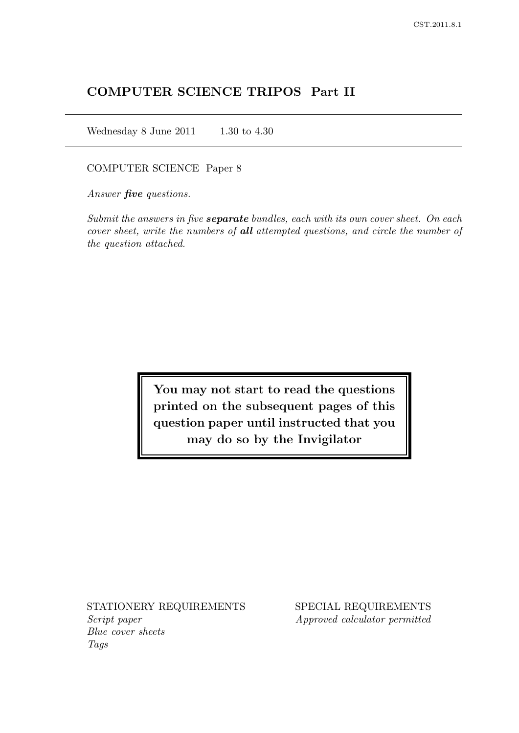# COMPUTER SCIENCE TRIPOS Part II

Wednesday 8 June 2011  $1.30$  to 4.30

### COMPUTER SCIENCE Paper 8

Answer **five** questions.

Submit the answers in five **separate** bundles, each with its own cover sheet. On each cover sheet, write the numbers of all attempted questions, and circle the number of the question attached.

> You may not start to read the questions printed on the subsequent pages of this question paper until instructed that you may do so by the Invigilator

Script paper Approved calculator permitted Blue cover sheets Tags

STATIONERY REQUIREMENTS SPECIAL REQUIREMENTS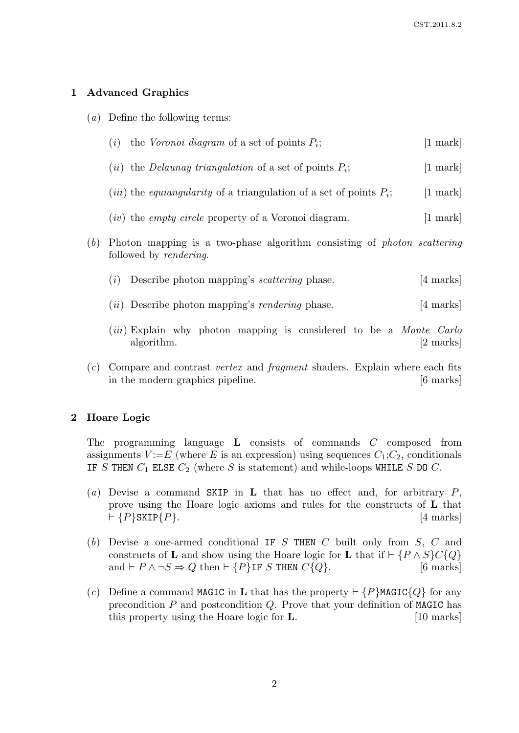## 1 Advanced Graphics

(a) Define the following terms:

|     | the Voronoi diagram of a set of points $P_i$ ;<br>(i)                                                            | $ 1 \text{ mark} $  |
|-----|------------------------------------------------------------------------------------------------------------------|---------------------|
|     | ( <i>ii</i> ) the <i>Delaunay triangulation</i> of a set of points $P_i$ ;                                       | $ 1 \text{ mark} $  |
|     | ( <i>iii</i> ) the <i>equiangularity</i> of a triangulation of a set of points $P_i$ ;                           | $[1 \text{ mark}]$  |
|     | $(iv)$ the <i>empty circle</i> property of a Voronoi diagram.                                                    | $ 1$ mark           |
| (b) | Photon mapping is a two-phase algorithm consisting of <i>photon scattering</i><br>followed by <i>rendering</i> . |                     |
|     | Describe photon mapping's <i>scattering</i> phase.<br>(i)                                                        | $ 4 \text{ marks} $ |
|     | $(ii)$ Describe photon mapping's <i>rendering</i> phase.                                                         | 4 marks             |

- (*iii*) Explain why photon mapping is considered to be a *Monte Carlo* algorithm. [2 marks]
- (c) Compare and contrast vertex and fragment shaders. Explain where each fits in the modern graphics pipeline. [6 marks]

### 2 Hoare Logic

The programming language L consists of commands C composed from assignments  $V := E$  (where E is an expression) using sequences  $C_1; C_2$ , conditionals IF S THEN  $C_1$  ELSE  $C_2$  (where S is statement) and while-loops WHILE S DO C.

- (a) Devise a command SKIP in **L** that has no effect and, for arbitrary  $P$ , prove using the Hoare logic axioms and rules for the constructs of L that  $\vdash \{P\}$ SKIP $\{P\}$ . [4 marks]
- (b) Devise a one-armed conditional IF S THEN  $C$  built only from  $S$ ,  $C$  and constructs of **L** and show using the Hoare logic for **L** that if  $\vdash \{P \land S\}C\{Q\}$ <br>and  $\vdash P \land \neg S \Rightarrow Q$  then  $\vdash \{P\}$ **IF** S THEN  $C\{Q\}$ . [6 marks] and  $\vdash P \land \neg S \Rightarrow Q$  then  $\vdash \{P\}$ IF S THEN  $C\{Q\}$ .
- (c) Define a command MAGIC in L that has the property  $\vdash \{P\}$ MAGIC{ $Q\}$  for any precondition  $P$  and postcondition  $Q$ . Prove that your definition of MAGIC has this property using the Hoare logic for **L**. [10 marks]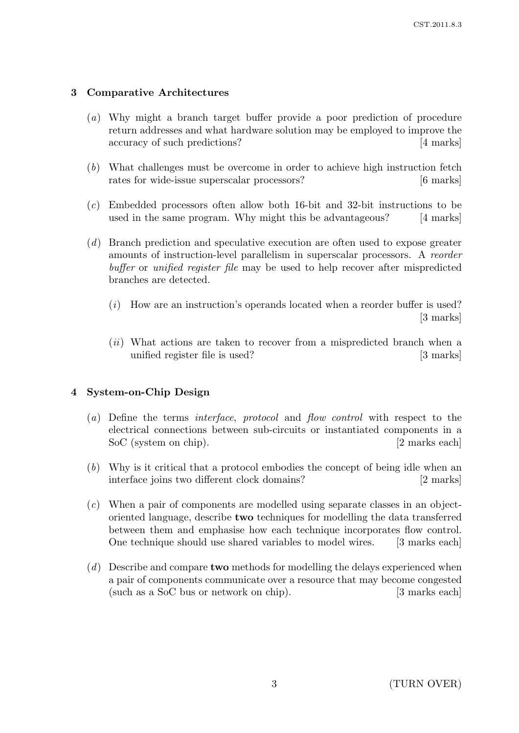## 3 Comparative Architectures

- (a) Why might a branch target buffer provide a poor prediction of procedure return addresses and what hardware solution may be employed to improve the accuracy of such predictions? [4 marks]
- (b) What challenges must be overcome in order to achieve high instruction fetch rates for wide-issue superscalar processors? [6 marks]
- (c) Embedded processors often allow both 16-bit and 32-bit instructions to be used in the same program. Why might this be advantageous? [4 marks]
- (d) Branch prediction and speculative execution are often used to expose greater amounts of instruction-level parallelism in superscalar processors. A reorder buffer or unified register file may be used to help recover after mispredicted branches are detected.
	- (i) How are an instruction's operands located when a reorder buffer is used? [3 marks]
	- (ii) What actions are taken to recover from a mispredicted branch when a unified register file is used? [3 marks]

## 4 System-on-Chip Design

- (a) Define the terms interface, protocol and flow control with respect to the electrical connections between sub-circuits or instantiated components in a SoC (system on chip). [2 marks each]
- (b) Why is it critical that a protocol embodies the concept of being idle when an interface joins two different clock domains? [2 marks]
- (c) When a pair of components are modelled using separate classes in an objectoriented language, describe two techniques for modelling the data transferred between them and emphasise how each technique incorporates flow control. One technique should use shared variables to model wires. [3 marks each]
- $(d)$  Describe and compare **two** methods for modelling the delays experienced when a pair of components communicate over a resource that may become congested (such as a SoC bus or network on chip). [3 marks each]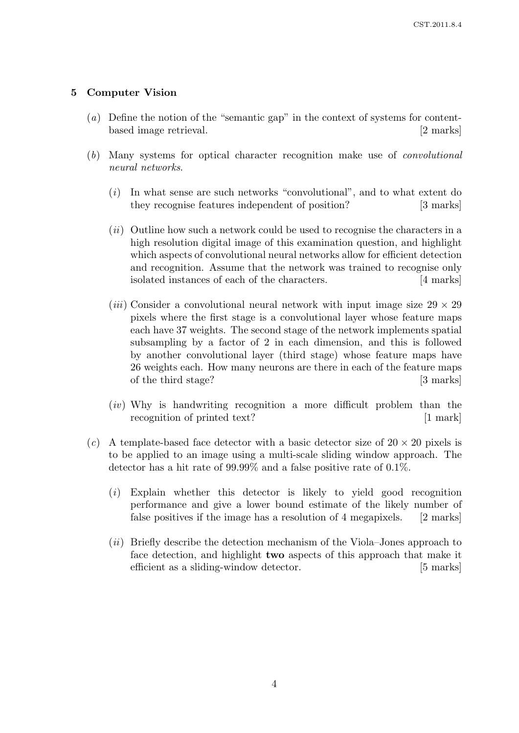## 5 Computer Vision

- (a) Define the notion of the "semantic gap" in the context of systems for contentbased image retrieval. [2 marks]
- (b) Many systems for optical character recognition make use of convolutional neural networks.
	- (i) In what sense are such networks "convolutional", and to what extent do they recognise features independent of position? [3 marks]
	- (ii) Outline how such a network could be used to recognise the characters in a high resolution digital image of this examination question, and highlight which aspects of convolutional neural networks allow for efficient detection and recognition. Assume that the network was trained to recognise only isolated instances of each of the characters. [4 marks]
	- (*iii*) Consider a convolutional neural network with input image size  $29 \times 29$ pixels where the first stage is a convolutional layer whose feature maps each have 37 weights. The second stage of the network implements spatial subsampling by a factor of 2 in each dimension, and this is followed by another convolutional layer (third stage) whose feature maps have 26 weights each. How many neurons are there in each of the feature maps of the third stage? [3 marks]
	- $(iv)$  Why is handwriting recognition a more difficult problem than the recognition of printed text? [1 mark]
- (c) A template-based face detector with a basic detector size of  $20 \times 20$  pixels is to be applied to an image using a multi-scale sliding window approach. The detector has a hit rate of 99.99% and a false positive rate of 0.1%.
	- (i) Explain whether this detector is likely to yield good recognition performance and give a lower bound estimate of the likely number of false positives if the image has a resolution of 4 megapixels. [2 marks]
	- (ii) Briefly describe the detection mechanism of the Viola–Jones approach to face detection, and highlight two aspects of this approach that make it efficient as a sliding-window detector. [5 marks]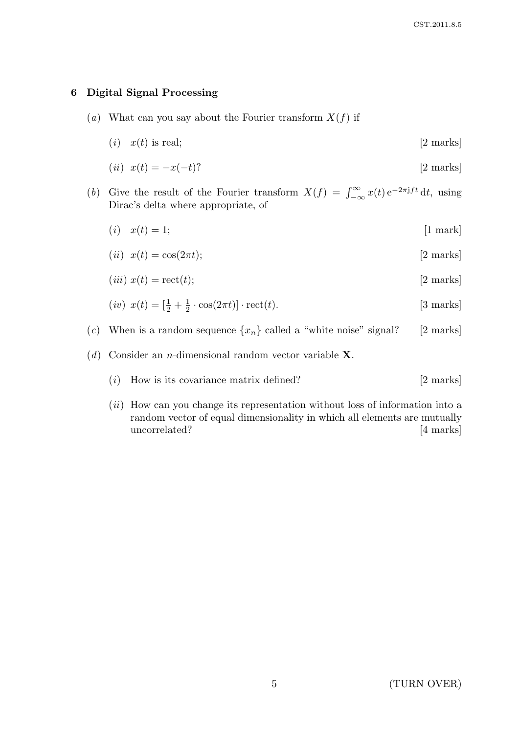## 6 Digital Signal Processing

- (a) What can you say about the Fourier transform  $X(f)$  if
	- (i)  $x(t)$  is real; [2 marks]

$$
(ii) \ \ x(t) = -x(-t)? \tag{2 marks}
$$

- (b) Give the result of the Fourier transform  $X(f) = \int_{-\infty}^{\infty} x(t) e^{-2\pi i f t} dt$ , using Dirac's delta where appropriate, of
	- (*i*)  $x(t) = 1;$  [1 mark]

$$
(ii) \ \ x(t) = \cos(2\pi t); \tag{2 marks}
$$

$$
(iii) x(t) = \text{rect}(t); \qquad [2 \text{ marks}]
$$

$$
(iv) \ \ x(t) = \left[\frac{1}{2} + \frac{1}{2} \cdot \cos(2\pi t)\right] \cdot \text{rect}(t). \tag{3 marks}
$$

- (c) When is a random sequence  $\{x_n\}$  called a "white noise" signal? [2 marks]
- (d) Consider an *n*-dimensional random vector variable  $X$ .
	- $(i)$  How is its covariance matrix defined? [2 marks]
	- (ii) How can you change its representation without loss of information into a random vector of equal dimensionality in which all elements are mutually uncorrelated? [4 marks]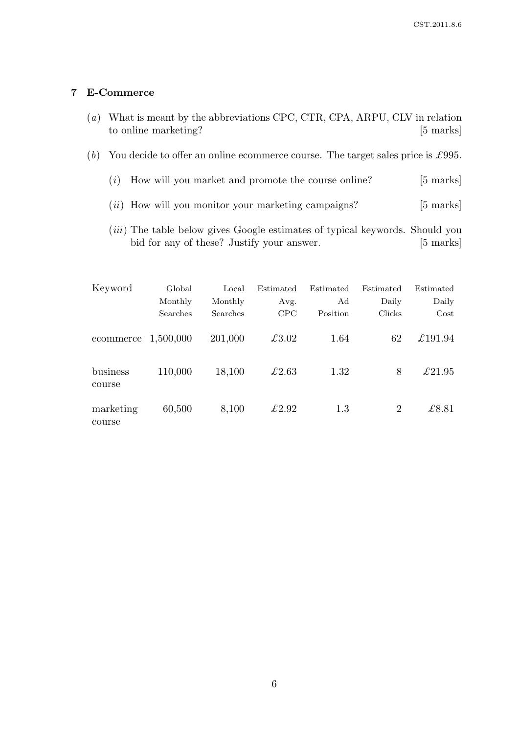## 7 E-Commerce

- (a) What is meant by the abbreviations CPC, CTR, CPA, ARPU, CLV in relation to online marketing? [5 marks]
- (b) You decide to offer an online ecommerce course. The target sales price is £995.
	- $(i)$  How will you market and promote the course online? [5 marks]
	- $(ii)$  How will you monitor your marketing campaigns? [5 marks]
	- (*iii*) The table below gives Google estimates of typical keywords. Should you bid for any of these? Justify your answer. [5 marks]

| Keyword             | Global    | Local    | Estimated | Estimated | Estimated      | Estimated       |
|---------------------|-----------|----------|-----------|-----------|----------------|-----------------|
|                     | Monthly   | Monthly  | Avg.      | Ad        | Daily          | Daily           |
|                     | Searches  | Searches | CPC       | Position  | Clicks         | $\cos t$        |
| ecommerce           | 1,500,000 | 201,000  | £3.02     | 1.64      | 62             | £191.94         |
| business<br>course  | 110,000   | 18,100   | £2.63     | 1.32      | 8              | $\pounds 21.95$ |
| marketing<br>course | 60,500    | 8,100    | £2.92     | 1.3       | $\overline{2}$ | £8.81           |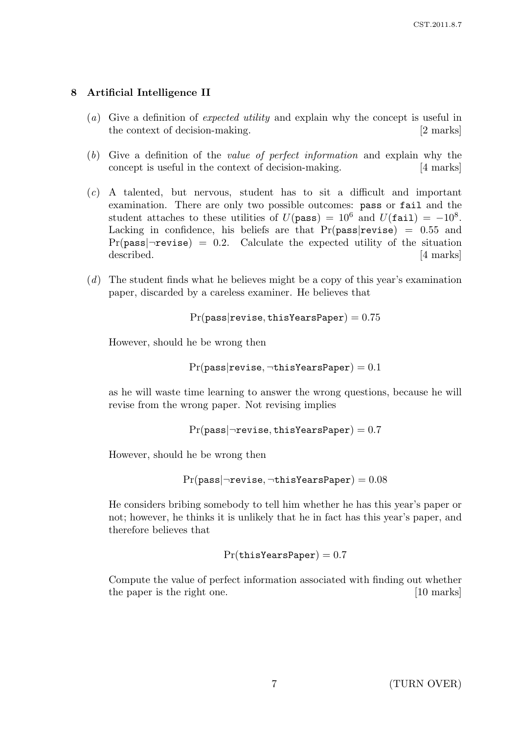## 8 Artificial Intelligence II

- (a) Give a definition of expected utility and explain why the concept is useful in the context of decision-making. [2 marks]
- (b) Give a definition of the value of perfect information and explain why the concept is useful in the context of decision-making. [4 marks]
- (c) A talented, but nervous, student has to sit a difficult and important examination. There are only two possible outcomes: pass or fail and the student attaches to these utilities of  $U(\text{pass}) = 10^6$  and  $U(\text{fail}) = -10^8$ . Lacking in confidence, his beliefs are that  $Pr(\text{pass}|\text{rewise}) = 0.55$  and  $Pr(\text{pass}|\neg \text{rewise}) = 0.2.$  Calculate the expected utility of the situation described. [4 marks] [4 marks]
- (d) The student finds what he believes might be a copy of this year's examination paper, discarded by a careless examiner. He believes that

 $Pr(\text{pass}| \text{rewise}, \text{thisYearSPaper}) = 0.75$ 

However, should he be wrong then

 $Pr(\text{pass}| \text{rewise}, \neg \text{thisYear} | \text{paper}) = 0.1$ 

as he will waste time learning to answer the wrong questions, because he will revise from the wrong paper. Not revising implies

```
Pr(\text{pass}|\neg \text{rewise}, \text{thisYear}|\text{Paper}) = 0.7
```
However, should he be wrong then

```
Pr(\text{pass}|\neg \text{rewise}, \neg \text{thisYear}|\text{Paper}) = 0.08
```
He considers bribing somebody to tell him whether he has this year's paper or not; however, he thinks it is unlikely that he in fact has this year's paper, and therefore believes that

 $Pr(\texttt{thisYearPaper}) = 0.7$ 

Compute the value of perfect information associated with finding out whether the paper is the right one. [10 marks]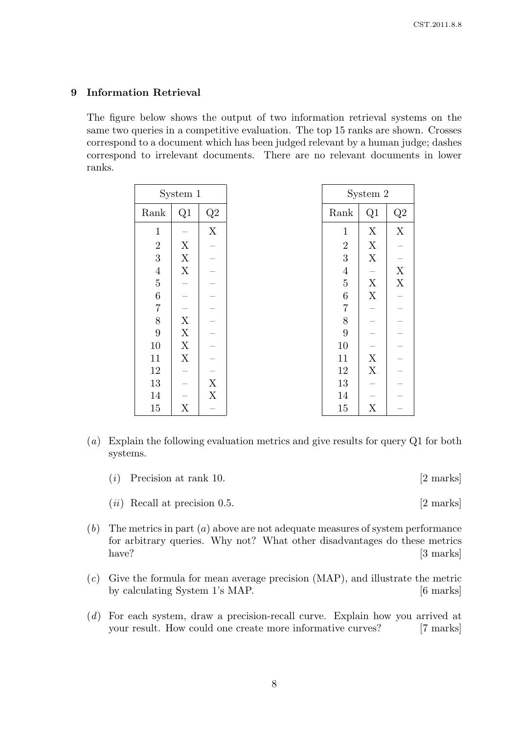### 9 Information Retrieval

The figure below shows the output of two information retrieval systems on the same two queries in a competitive evaluation. The top 15 ranks are shown. Crosses correspond to a document which has been judged relevant by a human judge; dashes correspond to irrelevant documents. There are no relevant documents in lower ranks.

| System 1         |                           |             | System 2         |                           |               |
|------------------|---------------------------|-------------|------------------|---------------------------|---------------|
| Rank             | Q1                        | Q2          | Rank             | Q1                        | $\mathrm{Q}2$ |
| $\mathbf{1}$     |                           | $\mathbf X$ | $\mathbf{1}$     | X                         | $\mathbf X$   |
| $\sqrt{2}$       | X                         |             | $\boldsymbol{2}$ | $\mathbf X$               |               |
| $\overline{3}$   | $\mathbf X$               |             | 3                | $\mathbf X$               |               |
| $\overline{4}$   | $\mathbf X$               |             | $\overline{4}$   |                           | $\mathbf X$   |
| $\overline{5}$   |                           |             | $\bf 5$          | $\mathbf X$               | $\mathbf X$   |
| $\boldsymbol{6}$ |                           |             | $\,6\,$          | $\mathbf X$               |               |
| $\overline{7}$   |                           |             | $\,7$            |                           |               |
| $\,8\,$          | $\boldsymbol{\mathrm{X}}$ |             | $8\,$            |                           |               |
| $\boldsymbol{9}$ | X                         |             | $9\phantom{.}$   |                           |               |
| $10\,$           | $\boldsymbol{\mathrm{X}}$ |             | 10               |                           |               |
| 11               | $\boldsymbol{\mathrm{X}}$ |             | 11               | $\mathbf X$               |               |
| $12\,$           |                           |             | $12\,$           | $\mathbf X$               |               |
| $13\,$           |                           | $\mathbf X$ | 13               |                           |               |
| 14               |                           | X           | 14               |                           |               |
| $15\,$           | X                         |             | $15\,$           | $\boldsymbol{\mathrm{X}}$ |               |

- (a) Explain the following evaluation metrics and give results for query Q1 for both systems.
	- (i) Precision at rank 10.  $[2 \text{ marks}]$
	- $(ii)$  Recall at precision 0.5. [2 marks]
- $(b)$  The metrics in part  $(a)$  above are not adequate measures of system performance for arbitrary queries. Why not? What other disadvantages do these metrics have? [3 marks]
- (c) Give the formula for mean average precision (MAP), and illustrate the metric by calculating System 1's MAP. [6 marks]
- (d) For each system, draw a precision-recall curve. Explain how you arrived at your result. How could one create more informative curves? [7 marks]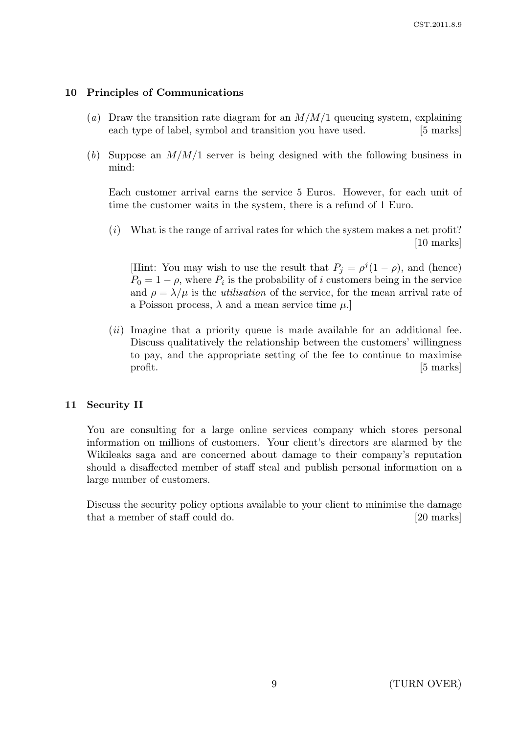## 10 Principles of Communications

- (a) Draw the transition rate diagram for an  $M/M/1$  queueing system, explaining each type of label, symbol and transition you have used. [5 marks]
- (b) Suppose an  $M/M/1$  server is being designed with the following business in mind:

Each customer arrival earns the service 5 Euros. However, for each unit of time the customer waits in the system, there is a refund of 1 Euro.

 $(i)$  What is the range of arrival rates for which the system makes a net profit? [10 marks]

[Hint: You may wish to use the result that  $P_j = \rho^j (1 - \rho)$ , and (hence)  $P_0 = 1 - \rho$ , where  $P_i$  is the probability of i customers being in the service and  $\rho = \lambda/\mu$  is the *utilisation* of the service, for the mean arrival rate of a Poisson process,  $\lambda$  and a mean service time  $\mu$ .

 $(ii)$  Imagine that a priority queue is made available for an additional fee. Discuss qualitatively the relationship between the customers' willingness to pay, and the appropriate setting of the fee to continue to maximise profit. [5 marks]

### 11 Security II

You are consulting for a large online services company which stores personal information on millions of customers. Your client's directors are alarmed by the Wikileaks saga and are concerned about damage to their company's reputation should a disaffected member of staff steal and publish personal information on a large number of customers.

Discuss the security policy options available to your client to minimise the damage that a member of staff could do. [20 marks]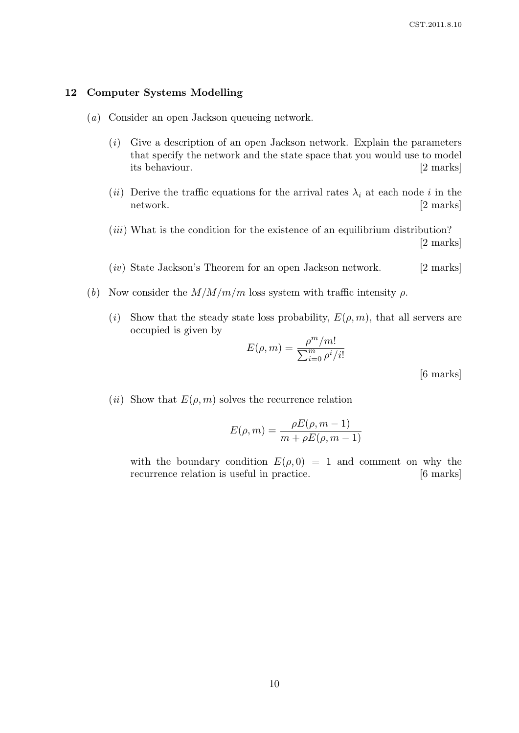#### 12 Computer Systems Modelling

- (a) Consider an open Jackson queueing network.
	- (i) Give a description of an open Jackson network. Explain the parameters that specify the network and the state space that you would use to model its behaviour. [2 marks]
	- (ii) Derive the traffic equations for the arrival rates  $\lambda_i$  at each node i in the network. [2 marks]
	- $(iii)$  What is the condition for the existence of an equilibrium distribution? [2 marks]
	- (*iv*) State Jackson's Theorem for an open Jackson network. [2 marks]
- (b) Now consider the  $M/M/m/m$  loss system with traffic intensity  $\rho$ .
	- (i) Show that the steady state loss probability,  $E(\rho, m)$ , that all servers are occupied is given by

$$
E(\rho, m) = \frac{\rho^m/m!}{\sum_{i=0}^m \rho^i/i!}
$$

[6 marks]

(*ii*) Show that  $E(\rho, m)$  solves the recurrence relation

$$
E(\rho, m) = \frac{\rho E(\rho, m - 1)}{m + \rho E(\rho, m - 1)}
$$

with the boundary condition  $E(\rho, 0) = 1$  and comment on why the recurrence relation is useful in practice. [6 marks]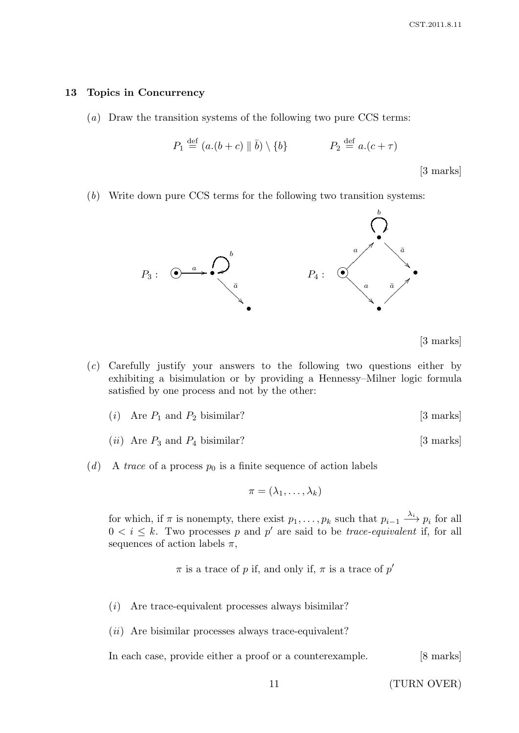#### 13 Topics in Concurrency

(a) Draw the transition systems of the following two pure CCS terms:

$$
P_1 \stackrel{\text{def}}{=} (a.(b+c) \parallel \bar{b}) \setminus \{b\} \qquad P_2 \stackrel{\text{def}}{=} a.(c+\tau)
$$

[3 marks]

(b) Write down pure CCS terms for the following two transition systems:



[3 marks]

- (c) Carefully justify your answers to the following two questions either by exhibiting a bisimulation or by providing a Hennessy–Milner logic formula satisfied by one process and not by the other:
	- (i) Are  $P_1$  and  $P_2$  bisimilar? [3 marks]
	- (*ii*) Are  $P_3$  and  $P_4$  bisimilar? [3 marks]
- (d) A trace of a process  $p_0$  is a finite sequence of action labels

$$
\pi=(\lambda_1,\ldots,\lambda_k)
$$

for which, if  $\pi$  is nonempty, there exist  $p_1, \ldots, p_k$  such that  $p_{i-1} \stackrel{\lambda_i}{\longrightarrow} p_i$  for all  $0 < i \leq k$ . Two processes p and p' are said to be *trace-equivalent* if, for all sequences of action labels  $\pi$ ,

 $\pi$  is a trace of p if, and only if,  $\pi$  is a trace of p'

- (i) Are trace-equivalent processes always bisimilar?
- $(ii)$  Are bisimilar processes always trace-equivalent?

In each case, provide either a proof or a counterexample. [8 marks]

11 (TURN OVER)